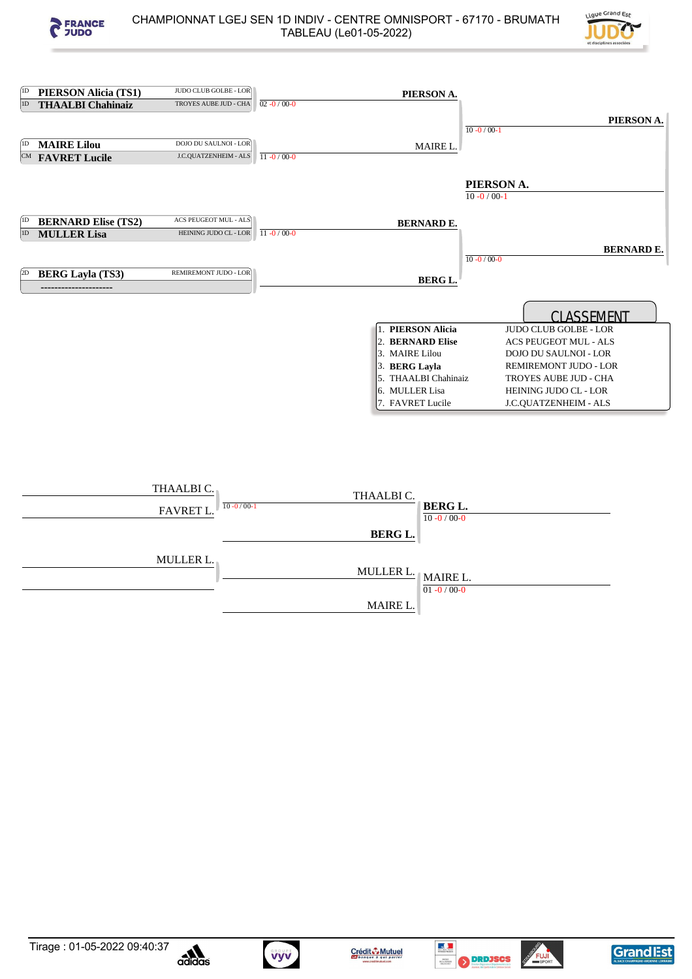



| 1D | <b>PIERSON Alicia (TS1)</b> | JUDO CLUB GOLBE - LOR        |                   | PIERSON A.            |                              |
|----|-----------------------------|------------------------------|-------------------|-----------------------|------------------------------|
| 1D | <b>THAALBI Chahinaiz</b>    | TROYES AUBE JUD - CHA        | $02 - 0 / 00 - 0$ |                       |                              |
|    |                             |                              |                   |                       | PIERSON A.                   |
|    |                             |                              |                   |                       | $10 - 0 / 00 - 1$            |
|    | <b>MAIRE Lilou</b>          | DOJO DU SAULNOI - LOR        |                   | MAIRE L.              |                              |
|    | <b>CM FAVRET Lucile</b>     | J.C.QUATZENHEIM - ALS        | $11 - 0/00 - 0$   |                       |                              |
|    |                             |                              |                   |                       |                              |
|    |                             |                              |                   |                       | PIERSON A.                   |
|    |                             |                              |                   |                       | $10 - 0 / 00 - 1$            |
|    |                             |                              |                   |                       |                              |
|    | <b>BERNARD Elise (TS2)</b>  | ACS PEUGEOT MUL - ALS        |                   | <b>BERNARD E.</b>     |                              |
| 1D | <b>MULLER Lisa</b>          | HEINING JUDO CL - LOR        | $11 - 0/00 - 0$   |                       |                              |
|    |                             |                              |                   |                       | <b>BERNARD E.</b>            |
|    |                             |                              |                   |                       | $10 - 0 / 00 - 0$            |
| 2D | <b>BERG Layla (TS3)</b>     | <b>REMIREMONT JUDO - LOR</b> |                   | <b>BERG L.</b>        |                              |
|    |                             |                              |                   |                       |                              |
|    |                             |                              |                   |                       |                              |
|    |                             |                              |                   |                       | CLASSEMENT                   |
|    |                             |                              |                   | <b>PIERSON Alicia</b> | <b>JUDO CLUB GOLBE - LOR</b> |
|    |                             |                              |                   | 2. BERNARD Elise      | <b>ACS PEUGEOT MUL - ALS</b> |
|    |                             |                              |                   | 3. MAIRE Lilou        | <b>DOJO DU SAULNOI - LOR</b> |
|    |                             |                              |                   | 3. BERG Layla         | REMIREMONT JUDO - LOR        |
|    |                             |                              |                   | 5. THAALBI Chahinaiz  | TROYES AUBE JUD - CHA        |
|    |                             |                              |                   | 6. MULLER Lisa        | HEINING JUDO CL - LOR        |
|    |                             |                              |                   | 7. FAVRET Lucile      | J.C.QUATZENHEIM - ALS        |
|    |                             |                              |                   |                       |                              |

| THAALBI C.<br><b>FAVRET L.</b> | THAALBIC.<br>$10 - 0 / 00 - 1$ | <b>BERG L.</b><br>$10 - 0 / 00 - 0$ |
|--------------------------------|--------------------------------|-------------------------------------|
|                                | <b>BERG L.</b>                 |                                     |
| <b>MULLER L.</b>               | MULLER L.   MAIRE L.           | $01 - 0 / 00 - 0$                   |
|                                | MAIRE L.                       |                                     |











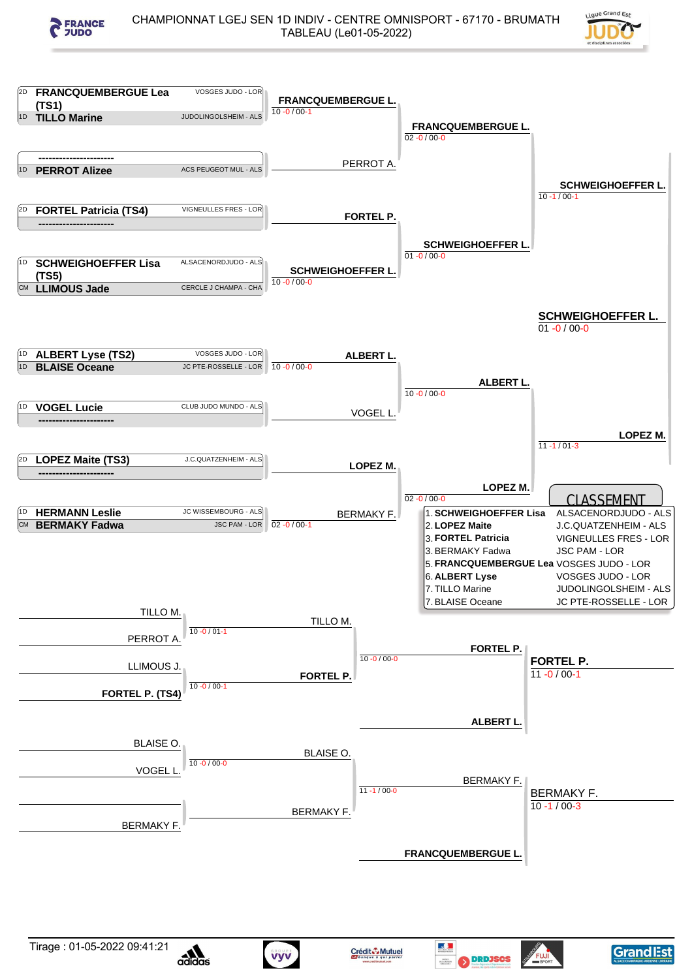



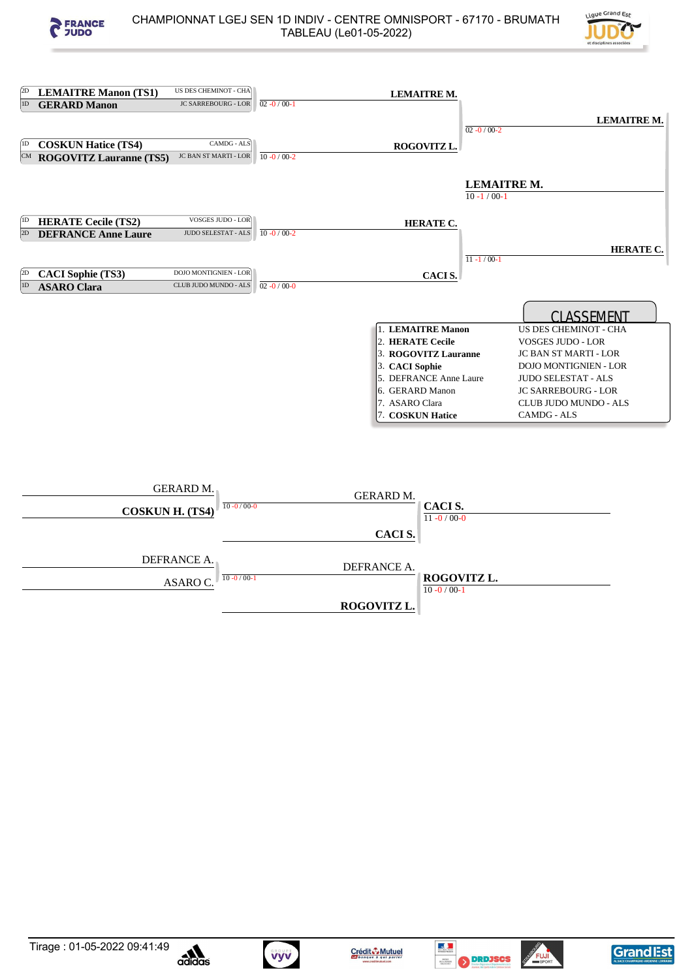



| (2D)<br>US DES CHEMINOT - CHA<br><b>LEMAITRE Manon (TS1)</b>                                                | <b>LEMAITRE M.</b>                                                                                                                                                 |                                                                                                                                                                                                                              |
|-------------------------------------------------------------------------------------------------------------|--------------------------------------------------------------------------------------------------------------------------------------------------------------------|------------------------------------------------------------------------------------------------------------------------------------------------------------------------------------------------------------------------------|
| 1D<br><b>JC SARREBOURG - LOR</b><br><b>GERARD Manon</b>                                                     | $02 - 0/00 - 1$                                                                                                                                                    |                                                                                                                                                                                                                              |
|                                                                                                             |                                                                                                                                                                    | <b>LEMAITRE M.</b><br>$02 - 0 / 00 - 2$                                                                                                                                                                                      |
| CAMDG - ALS<br><b>COSKUN Hatice (TS4)</b>                                                                   | ROGOVITZ L.                                                                                                                                                        |                                                                                                                                                                                                                              |
| <b>JC BAN ST MARTI - LOR</b><br>CM ROGOVITZ Lauranne (TS5)                                                  | $10 - 0 / 00 - 2$                                                                                                                                                  |                                                                                                                                                                                                                              |
|                                                                                                             |                                                                                                                                                                    | <b>LEMAITRE M.</b><br>$10 - 1/00 - 1$                                                                                                                                                                                        |
| <b>VOSGES JUDO - LOR</b><br><b>HERATE Cecile (TS2)</b><br><b>JUDO SELESTAT - ALS</b><br>2D                  | HERATE C.<br>$10 - 0 / 00 - 2$                                                                                                                                     |                                                                                                                                                                                                                              |
| <b>DEFRANCE Anne Laure</b><br>DOJO MONTIGNIEN - LOR<br>2D<br><b>CACI Sophie (TS3)</b>                       | CACI S.                                                                                                                                                            | <b>HERATE C.</b><br>$11 - 1/00 - 1$                                                                                                                                                                                          |
| CLUB JUDO MUNDO - ALS<br>1D<br><b>ASARO Clara</b>                                                           | $02 - 0 / 00 - 0$                                                                                                                                                  |                                                                                                                                                                                                                              |
|                                                                                                             | 1. LEMAITRE Manon<br>2. HERATE Cecile<br>3. ROGOVITZ Lauranne<br>3. CACI Sophie<br>5. DEFRANCE Anne Laure<br>6. GERARD Manon<br>7. ASARO Clara<br>7. COSKUN Hatice | <b>CLASSEMENT</b><br>US DES CHEMINOT - CHA<br>VOSGES JUDO - LOR<br>JC BAN ST MARTI - LOR<br>DOJO MONTIGNIEN - LOR<br><b>JUDO SELESTAT - ALS</b><br><b>JC SARREBOURG - LOR</b><br>CLUB JUDO MUNDO - ALS<br><b>CAMDG - ALS</b> |
| <b>GERARD M.</b><br>$10 - 0/00 - 0$<br><b>COSKUN H. (TS4)</b><br>DEFRANCE A.<br>$10 - 0/00 - 1$<br>ASARO C. | <b>GERARD M.</b><br>CACI S.<br>$11 - 0/00 - 0$<br>CACI S.<br>DEFRANCE A.<br>ROGOVITZ L.<br>$10 - 0 / 00 - 1$                                                       |                                                                                                                                                                                                                              |













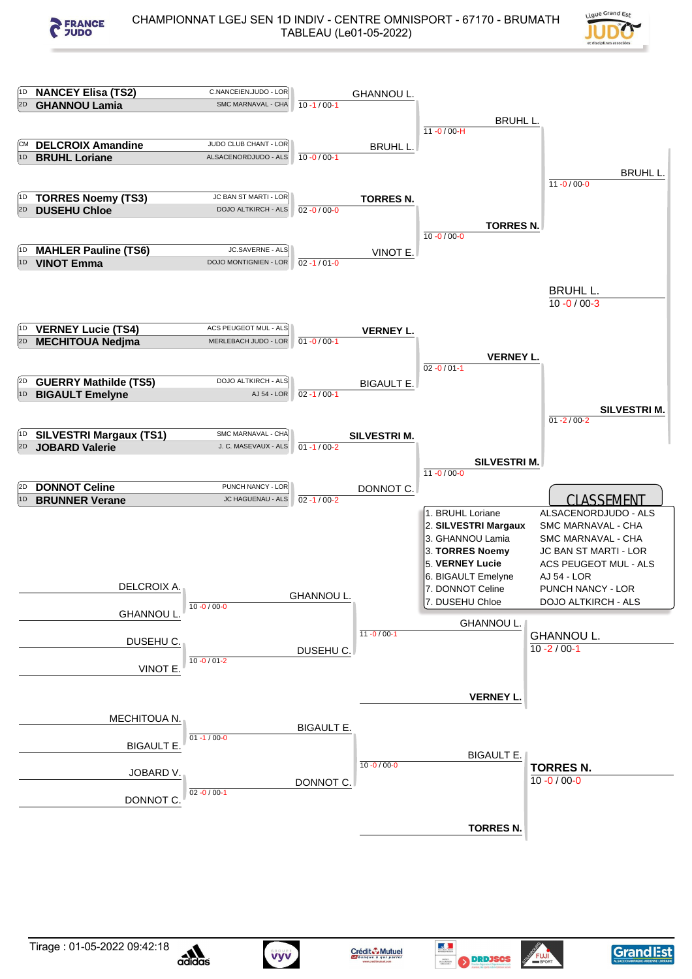



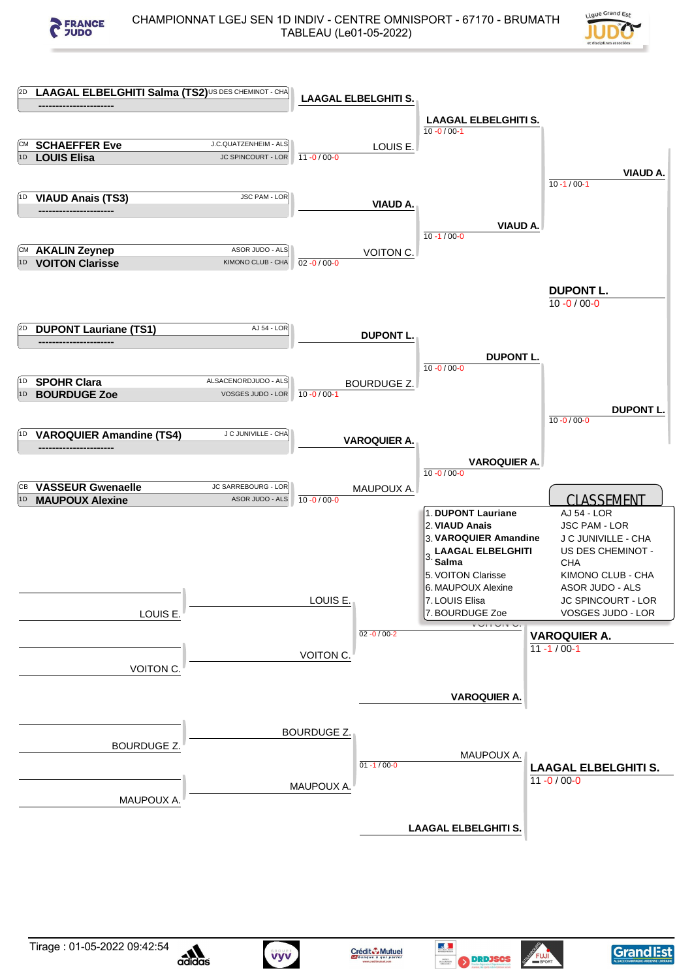



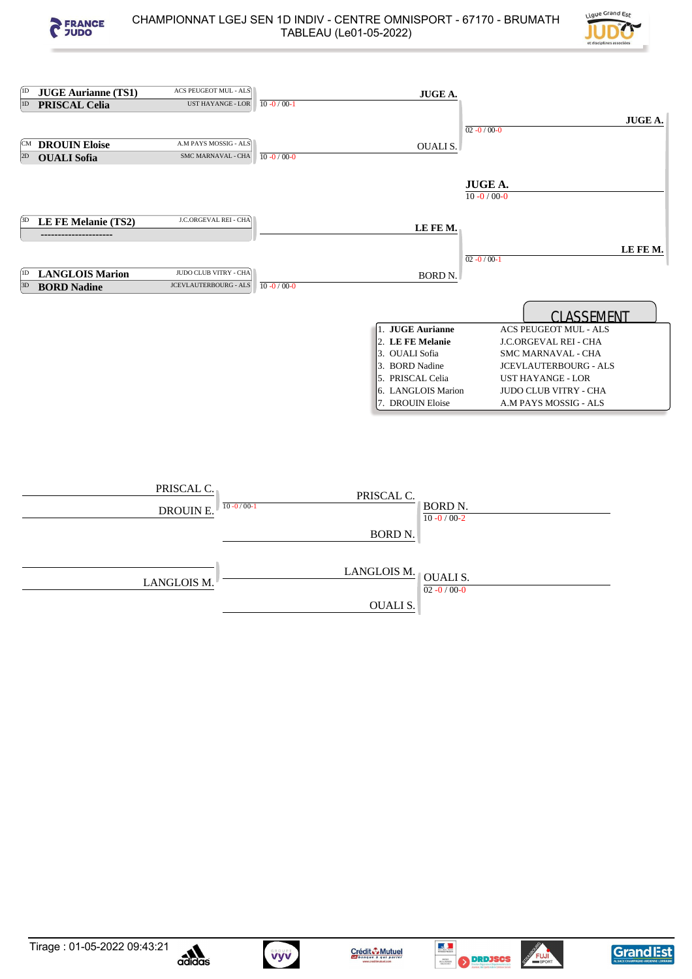



| (1D) | <b>JUGE Aurianne (TS1)</b> | ACS PEUGEOT MUL - ALS        | <b>JUGE A.</b>                                     |         |
|------|----------------------------|------------------------------|----------------------------------------------------|---------|
| 1D   | <b>PRISCAL Celia</b>       | UST HAYANGE - LOR            | $10 - 0 / 00 - 1$                                  |         |
|      |                            |                              |                                                    | JUGE A. |
|      |                            |                              | $02 - 0 / 00 - 0$                                  |         |
| ſСM  | <b>DROUIN Eloise</b>       | A.M PAYS MOSSIG - ALS        | <b>OUALIS.</b>                                     |         |
| 2D   | <b>OUALI</b> Sofia         | <b>SMC MARNAVAL - CHA</b>    | $10 - 0 / 00 - 0$                                  |         |
|      |                            |                              |                                                    |         |
|      |                            |                              | <b>JUGE A.</b>                                     |         |
|      |                            |                              | $10 - 0 / 00 - 0$                                  |         |
|      |                            |                              |                                                    |         |
| 3D   | LE FE Melanie (TS2)        | J.C.ORGEVAL REI - CHA        | LE FE M.                                           |         |
|      | ---------------            |                              |                                                    |         |
|      |                            |                              | LE FE M.                                           |         |
|      |                            |                              | $02 - 0 / 00 - 1$                                  |         |
| [1D  | <b>LANGLOIS Marion</b>     | JUDO CLUB VITRY - CHA        | BORD <sub>N</sub> .                                |         |
| 3D   | <b>BORD Nadine</b>         | <b>JCEVLAUTERBOURG - ALS</b> | $10 - 0 / 00 - 0$                                  |         |
|      |                            |                              |                                                    |         |
|      |                            |                              | <b>CLASSEMENT</b>                                  |         |
|      |                            |                              | 1. JUGE Aurianne<br>ACS PEUGEOT MUL - ALS          |         |
|      |                            |                              | 2. LE FE Melanie<br>J.C.ORGEVAL REI - CHA          |         |
|      |                            |                              | 3. OUALI Sofia<br>SMC MARNAVAL - CHA               |         |
|      |                            |                              | 3. BORD Nadine<br><b>JCEVLAUTERBOURG - ALS</b>     |         |
|      |                            |                              | 5. PRISCAL Celia<br><b>UST HAYANGE - LOR</b>       |         |
|      |                            |                              | 6. LANGLOIS Marion<br><b>JUDO CLUB VITRY - CHA</b> |         |
|      |                            |                              | 7. DROUIN Eloise<br>A.M PAYS MOSSIG - ALS          |         |
|      |                            |                              |                                                    |         |
|      |                            |                              |                                                    |         |
|      |                            |                              |                                                    |         |
|      |                            |                              |                                                    |         |
|      |                            |                              |                                                    |         |
|      |                            | PRISCAL C.                   |                                                    |         |
|      |                            |                              | PRISCAL C.                                         |         |
|      |                            | $10 - 0/00 - 1$<br>DROUIN E. | BORD N.<br>$10 - 0 / 00 - 2$                       |         |
|      |                            |                              |                                                    |         |
|      |                            |                              | <b>BORD N.</b>                                     |         |
|      |                            |                              |                                                    |         |
|      |                            |                              | LANGLOIS M.                                        |         |
|      |                            | LANGLOIS M.                  | <b>OUALIS.</b>                                     |         |
|      |                            |                              | 02.0100                                            |         |





Vyv



 $\frac{0.000000}{02 - 0}$ 

OUALI S.